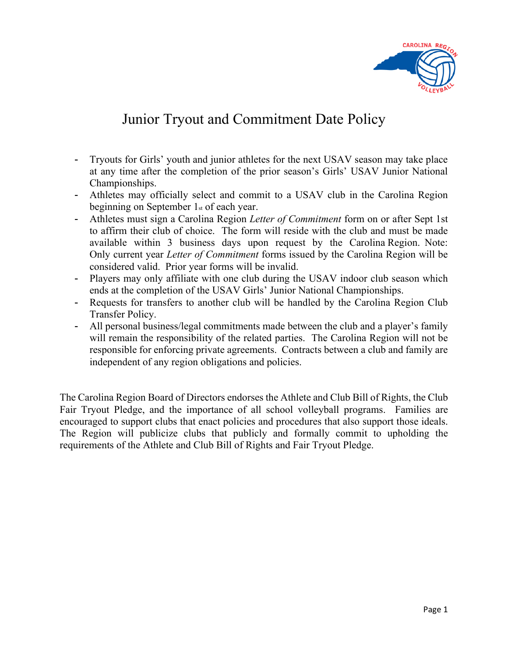

## Junior Tryout and Commitment Date Policy

- Tryouts for Girls' youth and junior athletes for the next USAV season may take place at any time after the completion of the prior season's Girls' USAV Junior National Championships.
- Athletes may officially select and commit to a USAV club in the Carolina Region beginning on September 1<sub>st</sub> of each year.
- Athletes must sign a Carolina Region *Letter of Commitment* form on or after Sept 1st to affirm their club of choice. The form will reside with the club and must be made available within 3 business days upon request by the Carolina Region. Note: Only current year *Letter of Commitment* forms issued by the Carolina Region will be considered valid. Prior year forms will be invalid.
- Players may only affiliate with one club during the USAV indoor club season which ends at the completion of the USAV Girls' Junior National Championships.
- Requests for transfers to another club will be handled by the Carolina Region Club Transfer Policy.
- All personal business/legal commitments made between the club and a player's family will remain the responsibility of the related parties. The Carolina Region will not be responsible for enforcing private agreements. Contracts between a club and family are independent of any region obligations and policies.

The Carolina Region Board of Directors endorses the Athlete and Club Bill of Rights, the Club Fair Tryout Pledge, and the importance of all school volleyball programs. Families are encouraged to support clubs that enact policies and procedures that also support those ideals. The Region will publicize clubs that publicly and formally commit to upholding the requirements of the Athlete and Club Bill of Rights and Fair Tryout Pledge.